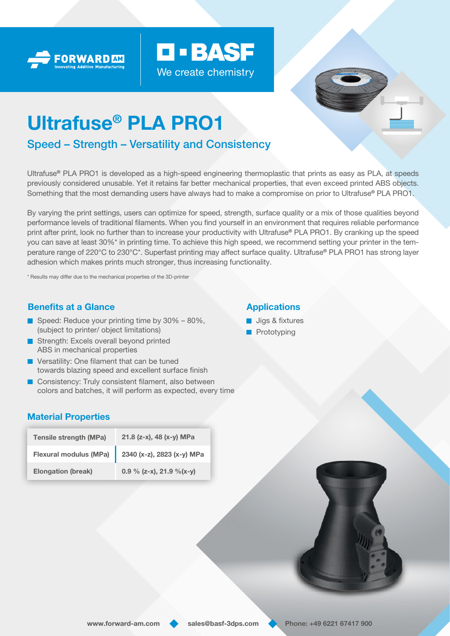



# Ultrafuse® PLA PRO1

# Speed – Strength – Versatility and Consistency

Ultrafuse® PLA PRO1 is developed as a high-speed engineering thermoplastic that prints as easy as PLA, at speeds previously considered unusable. Yet it retains far better mechanical properties, that even exceed printed ABS objects. Something that the most demanding users have always had to make a compromise on prior to Ultrafuse® PLA PRO1.

**D-BASF** 

We create chemistry

By varying the print settings, users can optimize for speed, strength, surface quality or a mix of those qualities beyond performance levels of traditional filaments. When you find yourself in an environment that requires reliable performance print after print, look no further than to increase your productivity with Ultrafuse® PLA PRO1. By cranking up the speed you can save at least 30%\* in printing time. To achieve this high speed, we recommend setting your printer in the temperature range of 220°C to 230°C\*. Superfast printing may affect surface quality. Ultrafuse® PLA PRO1 has strong layer adhesion which makes prints much stronger, thus increasing functionality.

\* Results may differ due to the mechanical properties of the 3D-printer

## Benefits at a Glance

- Speed: Reduce your printing time by  $30\% 80\%$ , (subject to printer/ object limitations)
- Strength: Excels overall beyond printed ABS in mechanical properties
- **Versatility: One filament that can be tuned** towards blazing speed and excellent surface finish
- **Consistency: Truly consistent filament, also between** colors and batches, it will perform as expected, every time

## Material Properties

| <b>Tensile strength (MPa)</b> | 21.8 (z-x), 48 (x-y) MPa                                  |
|-------------------------------|-----------------------------------------------------------|
|                               | Flexural modulus (MPa) $\Big  2340$ (x-z), 2823 (x-y) MPa |
| <b>Elongation (break)</b>     | 0.9 % (z-x), 21.9 %(x-y)                                  |



## **Applications**

- **Jigs & fixtures**
- **Prototyping**